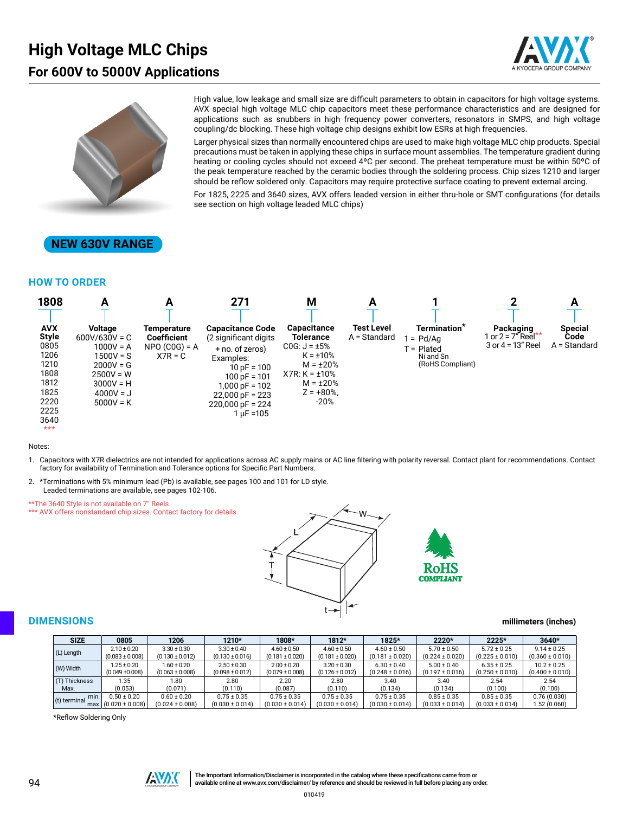# **High Voltage MLC Chips For 600V to 5000V Applications**





## **NEW 630V RANGE**

**HOW TO ORDER**

High value, low leakage and small size are difficult parameters to obtain in capacitors for high voltage systems. AVX special high voltage MLC chip capacitors meet these performance characteristics and are designed for applications such as snubbers in high frequency power converters, resonators in SMPS, and high voltage coupling/dc blocking. These high voltage chip designs exhibit low ESRs at high frequencies.

Larger physical sizes than normally encountered chips are used to make high voltage MLC chip products. Special precautions must be taken in applying these chips in surface mount assemblies. The temperature gradient during heating or cooling cycles should not exceed 4°C per second. The preheat temperature must be within 50°C of the peak temperature reached by the ceramic bodies through the soldering process. Chip sizes 1210 and larger should be reflow soldered only. Capacitors may require protective surface coating to prevent external arcing.

For 1825, 2225 and 3640 sizes, AVX offers leaded version in either thru-hole or SMT configurations (for details see section on high voltage leaded MLC chips)



#### Notes:

- 1. Capacitors with X7R dielectrics are not intended for applications across AC supply mains or AC line filtering with polarity reversal. Contact plant for recommendations. Contact factory for availability of Termination and Tolerance options for Specific Part Numbers.
- 2. \*Terminations with 5% minimum lead (Pb) is available, see pages 100 and 101 for LD style. Leaded terminations are available, see pages 102-106.
- \*\*The 3640 Style is not available on 7" Reels. \*\*\* AVX offers nonstandard chip sizes. Contact factory for details.



#### **DIMENSIONS millimeters (inches)**

| <b>SIZE</b>     | 0805                     | 1206                | 1210*               | 1808*               | 1812*               | 1825*               | 2220*               | 2225*               | $3640*$             |
|-----------------|--------------------------|---------------------|---------------------|---------------------|---------------------|---------------------|---------------------|---------------------|---------------------|
| $(L)$ Length    | $2.10 \pm 0.20$          | $3.30 \pm 0.30$     | $3.30 \pm 0.40$     | $4.60 \pm 0.50$     | $4.60 \pm 0.50$     | $4.60 \pm 0.50$     | $5.70 \pm 0.50$     | $5.72 \pm 0.25$     | $9.14 \pm 0.25$     |
|                 | $(0.083 \pm 0.008)$      | $(0.130 \pm 0.012)$ | $(0.130 \pm 0.016)$ | $(0.181 \pm 0.020)$ | $(0.181 \pm 0.020)$ | $(0.181 \pm 0.020)$ | $(0.224 \pm 0.020)$ | $(0.225 \pm 0.010)$ | $(0.360 \pm 0.010)$ |
| (W) Width       | $1.25 \pm 0.20$          | $1.60 \pm 0.20$     | $2.50 \pm 0.30$     | $2.00 \pm 0.20$     | $3.20 \pm 0.30$     | $6.30 \pm 0.40$     | $5.00 \pm 0.40$     | $6.35 \pm 0.25$     | $10.2 \pm 0.25$     |
|                 | $(0.049 \pm 0.008)$      | $(0.063 \pm 0.008)$ | $(0.098 \pm 0.012)$ | $(0.079 \pm 0.008)$ | $(0.126 \pm 0.012)$ | $(0.248 \pm 0.016)$ | $(0.197 \pm 0.016)$ | $(0.250 \pm 0.010)$ | $(0.400 \pm 0.010)$ |
| $(T)$ Thickness | 1.35                     | 1.80                | 2.80                | 2.20                | 2.80                | 3.40                | 3.40                | 2.54                | 2.54                |
| Max.            | (0.053)                  | (0.071)             | (0.110)             | (0.087)             | (0.110)             | (0.134)             | (0.134)             | (0.100)             | (0.100)             |
| min.            | $0.50 \pm 0.20$          | $0.60 \pm 0.20$     | $0.75 \pm 0.35$     | $0.75 \pm 0.35$     | $0.75 \pm 0.35$     | $0.75 \pm 0.35$     | $0.85 \pm 0.35$     | $0.85 \pm 0.35$     | 0.76(0.030)         |
| (t) terminal    | max. $(0.020 \pm 0.008)$ | $(0.024 \pm 0.008)$ | $(0.030 \pm 0.014)$ | $(0.030 \pm 0.014)$ | $(0.030 \pm 0.014)$ | $(0.030 \pm 0.014)$ | $(0.033 \pm 0.014)$ | $(0.033 \pm 0.014)$ | 1.52 (0.060)        |

\*Reflow Soldering Only

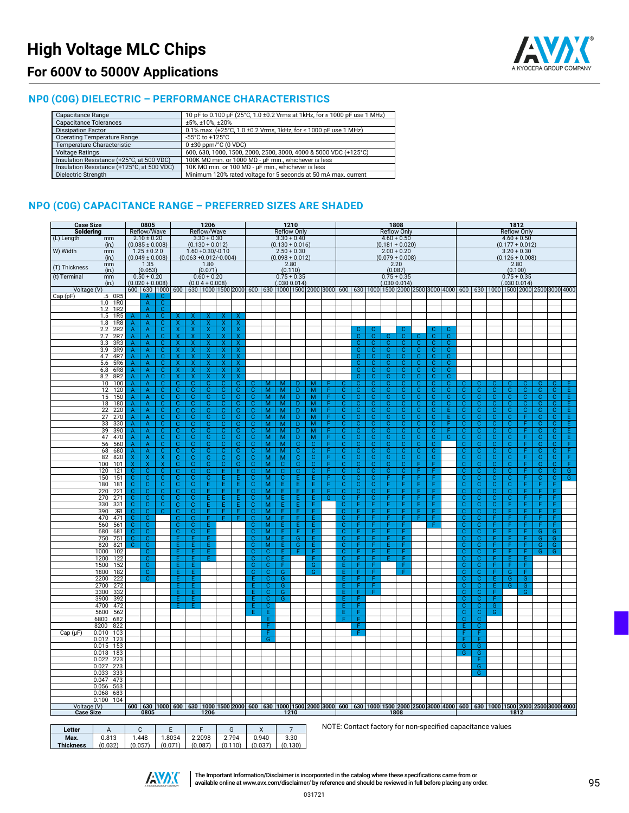

## **NP0 (C0G) DIELECTRIC – PERFORMANCE CHARACTERISTICS**

| Capacitance Range                          | 10 pF to 0.100 µF (25°C, 1.0 ±0.2 Vrms at 1kHz, for ≤ 1000 pF use 1 MHz) |
|--------------------------------------------|--------------------------------------------------------------------------|
| <b>Capacitance Tolerances</b>              | ±5%. ±10%. ±20%                                                          |
| <b>Dissipation Factor</b>                  | 0.1% max. (+25°C, 1.0 ±0.2 Vrms, 1kHz, for $\leq$ 1000 pF use 1 MHz)     |
| <b>Operating Temperature Range</b>         | $-55^{\circ}$ C to $+125^{\circ}$ C                                      |
| Temperature Characteristic                 | $0 \pm 30$ ppm/ $^{\circ}$ C (0 VDC)                                     |
| <b>Voltage Ratings</b>                     | 600, 630, 1000, 1500, 2000, 2500, 3000, 4000 & 5000 VDC (+125°C)         |
| Insulation Resistance (+25°C, at 500 VDC)  | 100K MΩ min. or 1000 MΩ - $\mu$ F min., whichever is less                |
| Insulation Resistance (+125°C, at 500 VDC) | 10K MΩ min. or 100 MΩ - $\mu$ F min., whichever is less                  |
| Dielectric Strength                        | Minimum 120% rated voltage for 5 seconds at 50 mA max. current           |

#### **NPO (C0G) CAPACITANCE RANGE – PREFERRED SIZES ARE SHADED**

| <b>Case Size</b>        |                                       |                                  | 0805                                   |                                  |                                                    |                                                    | 1206                                               |                                                    |                                                    |                                  |                              |                         | 1210                                |                     |                                                                                                                                                                                                                                 |                                           |                                           |                                         |                                           | 1808                                             |                                                    |                                  |                                           |                                           |                                  |                                  | 1812                             |                                    |                                  |                                  |                |
|-------------------------|---------------------------------------|----------------------------------|----------------------------------------|----------------------------------|----------------------------------------------------|----------------------------------------------------|----------------------------------------------------|----------------------------------------------------|----------------------------------------------------|----------------------------------|------------------------------|-------------------------|-------------------------------------|---------------------|---------------------------------------------------------------------------------------------------------------------------------------------------------------------------------------------------------------------------------|-------------------------------------------|-------------------------------------------|-----------------------------------------|-------------------------------------------|--------------------------------------------------|----------------------------------------------------|----------------------------------|-------------------------------------------|-------------------------------------------|----------------------------------|----------------------------------|----------------------------------|------------------------------------|----------------------------------|----------------------------------|----------------|
| Soldering<br>(L) Length | mm                                    |                                  | Reflow/Wave<br>$2.10 \pm 0.20$         |                                  |                                                    |                                                    | Reflow/Wave<br>$3.30 + 0.30$                       |                                                    |                                                    |                                  |                              |                         | <b>Reflow Only</b><br>$3.30 + 0.40$ |                     |                                                                                                                                                                                                                                 |                                           |                                           |                                         |                                           | <b>Reflow Only</b><br>$4.60 + 0.50$              |                                                    |                                  |                                           |                                           |                                  |                                  | $4.60 + 0.50$                    | <b>Reflow Only</b>                 |                                  |                                  |                |
|                         | (in.)                                 |                                  | $(0.085 \pm 0.008)$                    |                                  |                                                    |                                                    | $(0.130 + 0.012)$                                  |                                                    |                                                    |                                  |                              |                         | $(0.130 + 0.016)$                   |                     |                                                                                                                                                                                                                                 |                                           |                                           |                                         |                                           | $(0.181 + 0.020)$                                |                                                    |                                  |                                           |                                           |                                  |                                  |                                  | $(0.177 + 0.012)$                  |                                  |                                  |                |
| W) Width                | mm<br>(in.)                           |                                  | $1.25 \pm 0.20$<br>$(0.049 \pm 0.008)$ |                                  |                                                    | $(0.063 + 0.012/-0.004)$                           | $1.60 + 0.30/-0.10$                                |                                                    |                                                    |                                  |                              |                         | $2.50 + 0.30$<br>$(0.098 + 0.012)$  |                     |                                                                                                                                                                                                                                 |                                           |                                           |                                         |                                           | $2.00 + 0.20$<br>$(0.079 + 0.008)$               |                                                    |                                  |                                           |                                           |                                  |                                  |                                  | $3.20 + 0.30$<br>$(0.126 + 0.008)$ |                                  |                                  |                |
| (T) Thickness           | mm<br>(in.)                           |                                  | 1.35<br>(0.053)                        |                                  |                                                    |                                                    | 1.80<br>(0.071)                                    |                                                    |                                                    |                                  |                              |                         | 2.80<br>(0.110)                     |                     |                                                                                                                                                                                                                                 |                                           |                                           |                                         |                                           | 2.20<br>(0.087)                                  |                                                    |                                  |                                           |                                           |                                  |                                  | (0.100)                          | 2.80                               |                                  |                                  |                |
| (t) Terminal            | mm<br>(in.)                           |                                  | $0.50 + 0.20$<br>$(0.020 + 0.008)$     |                                  |                                                    |                                                    | $0.60 + 0.20$<br>$(0.04 + 0.008)$                  |                                                    |                                                    |                                  |                              |                         | $0.75 + 0.35$<br>(.030 0.014)       |                     |                                                                                                                                                                                                                                 |                                           |                                           |                                         |                                           | $0.75 + 0.35$<br>(.030 0.014)                    |                                                    |                                  |                                           |                                           |                                  |                                  | $0.75 + 0.35$<br>(.030 0.014)    |                                    |                                  |                                  |                |
| Voltage (V)             |                                       |                                  |                                        |                                  |                                                    |                                                    |                                                    |                                                    |                                                    |                                  |                              |                         |                                     |                     | 600   630   1000   600   630   1000   1500   2000   600   630   1000   1500   2000   2000   600   630   1000   1500   2000   2500   3000   4000   600   630   1000   1500   2000   2500   3000   4000   600   630   1000   1500 |                                           |                                           |                                         |                                           |                                                  |                                                    |                                  |                                           |                                           |                                  |                                  |                                  |                                    |                                  |                                  |                |
| Cap(pF)                 | $\frac{.5}{1.0}$<br>0R5<br><b>1R0</b> |                                  | A                                      | C                                |                                                    |                                                    |                                                    |                                                    |                                                    |                                  |                              |                         |                                     |                     |                                                                                                                                                                                                                                 |                                           |                                           |                                         |                                           |                                                  |                                                    |                                  |                                           |                                           |                                  |                                  |                                  |                                    |                                  |                                  |                |
|                         | 1.2<br>1 <sub>R2</sub>                |                                  | A                                      | Ċ                                |                                                    |                                                    |                                                    |                                                    |                                                    |                                  |                              |                         |                                     |                     |                                                                                                                                                                                                                                 |                                           |                                           |                                         |                                           |                                                  |                                                    |                                  |                                           |                                           |                                  |                                  |                                  |                                    |                                  |                                  |                |
|                         | 1.5<br>1R <sub>5</sub>                |                                  | А                                      |                                  |                                                    |                                                    |                                                    |                                                    |                                                    |                                  |                              |                         |                                     |                     |                                                                                                                                                                                                                                 |                                           |                                           |                                         |                                           |                                                  |                                                    |                                  |                                           |                                           |                                  |                                  |                                  |                                    |                                  |                                  |                |
|                         | 1R8<br>1.8<br>2.2<br>2R2              | A<br>A                           | A<br>A                                 | Ċ<br>C                           | X                                                  |                                                    |                                                    | x                                                  | $\overline{\mathsf{x}}$                            |                                  |                              |                         |                                     |                     |                                                                                                                                                                                                                                 |                                           |                                           |                                         |                                           |                                                  |                                                    |                                  |                                           |                                           |                                  |                                  |                                  |                                    |                                  |                                  |                |
|                         | 2.7<br>2R7                            | A                                | A                                      | С                                | X                                                  |                                                    | x                                                  | x                                                  | $\overline{\mathsf{x}}$                            |                                  |                              |                         |                                     |                     |                                                                                                                                                                                                                                 |                                           | $\overline{\text{c}}$                     | $\overline{\rm c}$                      |                                           | $\overline{\text{c}}$                            |                                                    | C                                | C                                         |                                           |                                  |                                  |                                  |                                    |                                  |                                  |                |
|                         | 3.3<br>3R3                            | Α                                | Ā                                      | $\overline{\mathsf{c}}$          | X                                                  | $\overline{\mathsf{x}}$                            | $\overline{\mathsf{x}}$                            | $\overline{\mathsf{x}}$                            | ᅑ                                                  |                                  |                              |                         |                                     |                     |                                                                                                                                                                                                                                 |                                           | $\overline{\mathsf{c}}$                   | $\overline{\text{c}}$                   | $\overline{\mathbf{c}}$                   | $\overline{\text{c}}$                            | $\overline{c}$                                     | $\overline{c}$                   | $\overline{\mathbf{c}}$                   |                                           |                                  |                                  |                                  |                                    |                                  |                                  |                |
|                         | 3.9<br>3R9                            | A                                | $\overline{\mathsf{A}}$                | $\overline{c}$<br>$\overline{c}$ | $\overline{\mathsf{x}}$                            | $\overline{\mathsf{x}}$<br>$\overline{\mathsf{x}}$ | $\overline{\mathsf{x}}$<br>$\overline{\mathsf{x}}$ | $\overline{\mathsf{x}}$<br>$\overline{\mathsf{x}}$ | $\overline{\mathsf{x}}$<br>$\overline{\mathsf{x}}$ |                                  |                              |                         |                                     |                     |                                                                                                                                                                                                                                 |                                           | $\overline{\mathbf{c}}$<br>$\overline{c}$ | $\overline{\text{c}}$<br>$\overline{c}$ | $\overline{\mathbf{c}}$<br>$\overline{c}$ | $\overline{\mathsf{c}}$                          | $\overline{c}$<br>$\overline{c}$                   | ਟ<br>$\overline{c}$              | $\overline{\mathrm{c}}$<br>$\overline{c}$ |                                           |                                  |                                  |                                  |                                    |                                  |                                  |                |
|                         | 4.7<br>4R7<br>5.6<br>5R6              | A<br>$\overline{\mathsf{A}}$     | $\overline{A}$<br>$\overline{A}$       | $\overline{\mathbf{c}}$          | X<br>$\overline{\mathsf{x}}$                       | $\overline{\mathsf{x}}$                            | $\overline{\mathsf{x}}$                            | $\overline{\mathsf{x}}$                            | $\overline{\mathbf{x}}$                            |                                  |                              |                         |                                     |                     |                                                                                                                                                                                                                                 |                                           | $\overline{\mathbf{c}}$                   | $\overline{c}$                          | $\overline{c}$                            | $\overline{c}$<br>$\overline{\mathrm{c}}$        | ਟ                                                  | $\overline{c}$                   | $\overline{\mathbf{c}}$                   |                                           |                                  |                                  |                                  |                                    |                                  |                                  |                |
|                         | 6.8<br>6R8                            | Ā                                | $\overline{A}$                         | $\overline{c}$                   | $\overline{\mathsf{x}}$                            | $\overline{\mathsf{x}}$                            | $\overline{\mathsf{x}}$                            | $\overline{\mathsf{x}}$                            | ᅑ                                                  |                                  |                              |                         |                                     |                     |                                                                                                                                                                                                                                 |                                           | $\overline{\mathbf{c}}$                   | $\overline{c}$                          | $\overline{c}$                            | $\overline{\text{c}}$                            | $\overline{c}$                                     | $\overline{c}$                   | $\overline{c}$                            |                                           |                                  |                                  |                                  |                                    |                                  |                                  |                |
|                         | 8.2<br>8R2                            | $\overline{\mathtt{A}}$          | $\overline{A}$                         | $\overline{c}$                   | $\overline{\mathsf{x}}$                            | $\overline{\mathsf{x}}$                            | $\overline{\mathsf{x}}$                            | $\overline{\mathbf{x}}$                            | $\overline{\mathsf{x}}$                            |                                  |                              |                         |                                     |                     |                                                                                                                                                                                                                                 |                                           | $\overline{c}$                            | $\overline{c}$                          | $\overline{c}$                            | $\overline{\mathrm{c}}$                          | $\overline{c}$                                     | $\overline{c}$                   | $\overline{c}$                            |                                           |                                  |                                  |                                  |                                    |                                  |                                  |                |
|                         | 10<br>100<br>$\overline{12}$<br>120   | Ā<br>$\overline{A}$              | A<br>$\overline{A}$                    | $\overline{c}$<br>$\overline{c}$ | $\overline{\mathrm{c}}$<br>$\overline{\mathrm{c}}$ | $\overline{c}$<br>$\overline{\mathbf{c}}$          | $\overline{\mathrm{c}}$<br>$\overline{\mathbf{c}}$ | $\overline{\mathrm{c}}$<br>$\overline{\mathrm{c}}$ | $\overline{\text{c}}$<br>$\overline{\mathbf{c}}$   | C<br>$\overline{c}$              | M<br>$\overline{\mathsf{M}}$ | $\overline{\mathsf{M}}$ | D<br>$\overline{\mathsf{D}}$        | M<br>$\overline{M}$ | F                                                                                                                                                                                                                               | $\mathcal{C}$<br>$\overline{c}$           | $\overline{\mathbf{c}}$<br>$\overline{c}$ | $\overline{c}$<br>$\overline{c}$        | $\overline{\mathbf{c}}$<br>$\overline{c}$ | $\overline{\text{c}}$<br>$\overline{\mathrm{c}}$ | $\overline{\mathsf{c}}$<br>$\overline{\mathbf{c}}$ | ਟ<br>$\overline{c}$              | $\overline{\mathbf{c}}$<br>$\overline{c}$ | $\Omega$<br>$\overline{c}$                | $\mathcal{C}$<br>$\overline{c}$  | $\overline{c}$                   | Ċ<br>$\overline{c}$              | $\Omega$<br>$\overline{c}$         | $\overline{\rm c}$               | $\overline{c}$                   | F              |
|                         | 15<br>150                             | A                                | A                                      | C.                               | $\overline{c}$                                     | $\overline{c}$                                     | $\overline{c}$                                     | $\overline{c}$                                     | $\overline{c}$                                     | $\overline{c}$                   | M                            | M                       | D                                   | $\overline{M}$      | F                                                                                                                                                                                                                               | $\overline{c}$                            | $\overline{c}$                            | $\overline{c}$                          | $\overline{c}$                            | $\overline{c}$                                   | $\overline{c}$                                     | $\overline{c}$                   | $\overline{c}$                            | $\overline{c}$                            | $\overline{c}$                   | $\mathbf{C}$                     | $\overline{c}$                   | C                                  | C.                               | C                                | Έ              |
|                         | $\overline{18}$<br>180                | $\overline{A}$                   | $\overline{A}$                         | $\overline{c}$                   | $\overline{\mathsf{c}}$                            | $\overline{\mathbf{c}}$                            | $\overline{\mathbf{c}}$                            | $\overline{\mathbf{c}}$                            | $\overline{c}$                                     | $\overline{\mathbf{c}}$          | $\overline{M}$               | $\overline{\mathsf{M}}$ | $\overline{\mathsf{D}}$             | $\overline{M}$      | F                                                                                                                                                                                                                               | $\overline{\mathsf{c}}$                   | $\overline{\mathbf{c}}$                   | $\overline{\mathbf{c}}$                 | $\overline{c}$                            | $\overline{c}$                                   | $\overline{c}$                                     | $\overline{c}$                   | $\overline{\mathbf{c}}$                   | $\overline{c}$                            | $\overline{c}$                   | $\overline{c}$                   | $\overline{\mathbf{c}}$          | $\overline{c}$                     | $\overline{c}$                   | $\overline{c}$                   | Ē              |
|                         | 22<br>220                             | A                                | $\overline{A}$                         | $\overline{c}$                   | $\overline{c}$                                     | $\overline{c}$                                     | $\overline{c}$                                     | $\overline{c}$                                     | $\overline{c}$                                     | $\overline{c}$                   | M                            | $\overline{M}$          | D                                   | $\overline{M}$      | F                                                                                                                                                                                                                               | $\overline{c}$                            | $\overline{c}$                            | $\overline{c}$                          | $\overline{c}$                            | $\overline{c}$                                   | $\overline{c}$                                     | $\overline{c}$                   | Έ                                         | $\overline{c}$                            | $\overline{c}$                   | $\overline{c}$                   | $\overline{c}$                   | $\overline{c}$                     | $\overline{c}$                   | C.                               | Ε              |
|                         | $\overline{27}$<br>270<br>33<br>330   | A<br>$\overline{A}$              | $\overline{A}$<br>$\overline{A}$       | $\overline{c}$<br>$\overline{c}$ | $\overline{c}$<br>$\overline{c}$                   | $\overline{c}$<br>$\overline{c}$                   | $\overline{c}$<br>$\overline{c}$                   | $\overline{c}$<br>$\overline{c}$                   | $\overline{c}$<br>$\overline{c}$                   | $\overline{c}$<br>$\overline{c}$ | M<br>M                       | $\overline{M}$<br>M     | $\overline{D}$<br>$\overline{D}$    | M<br>M              | F<br>Ŧ                                                                                                                                                                                                                          | $\overline{c}$<br>$\overline{c}$          | $\overline{c}$<br>$\overline{c}$          | $\overline{c}$<br>$\overline{c}$        | $\overline{c}$<br>$\overline{C}$          | $\overline{c}$<br>$\overline{c}$                 | $\overline{c}$<br>$\overline{c}$                   | $\overline{c}$<br>$\overline{c}$ | Έ<br>Ŧ                                    | $\overline{c}$<br>$\overline{c}$          | $\overline{c}$<br>$\overline{c}$ | $\overline{c}$<br>$\overline{c}$ | $\overline{c}$<br>$\overline{c}$ | F<br>Ŧ                             | $\overline{c}$<br>$\overline{c}$ | $\overline{c}$<br>$\overline{c}$ | Ε<br>Ε         |
|                         | 39<br>390                             | $\overline{A}$                   | $\overline{A}$                         | $\overline{c}$                   | $\overline{c}$                                     | $\overline{c}$                                     | $\overline{c}$                                     | $\overline{c}$                                     | $\overline{c}$                                     | $\overline{c}$                   | M                            | M                       | $\overline{D}$                      | M                   | F                                                                                                                                                                                                                               | $\overline{c}$                            | $\overline{c}$                            | $\overline{c}$                          | $\overline{c}$                            | $\overline{c}$                                   | $\overline{c}$                                     | $\overline{c}$                   | F                                         | $\overline{c}$                            | $\overline{c}$                   | $\overline{c}$                   | $\overline{c}$                   | F                                  | $\overline{c}$                   | $\overline{c}$                   | Ε              |
|                         | 47<br>470                             | $\mathsf{A}$                     | $\overline{A}$                         | C.                               | $\mathbf{C}$                                       | $\mathbf{C}$                                       | $\mathbf{C}$                                       | $\mathbf{C}$                                       | $\mathbf{C}$                                       | $\mathbf{C}$                     | M.                           | M                       | D.                                  | M                   | F                                                                                                                                                                                                                               | $\mathbf{C}$                              | $\mathbf{C}$                              | C.                                      | $\mathbf{C}$                              | C.                                               | $\mathbf{C}$                                       | $\mathbf{C}$                     | $\mathbf{C}$                              | $\mathbf{C}$                              | $\mathbf{C}$                     | $\mathbf{C}$                     | $\mathbf{C}$                     | F                                  | $\mathbf{C}$                     | C.                               | E.             |
|                         | 56<br>560                             | $\mathsf{A}$<br>$\mathsf{A}$     | A<br>A                                 | C.<br>C.                         | C.                                                 | C                                                  | C.                                                 | $\mathbf{C}$                                       | $\mathbf{C}$                                       | C                                | м                            | м                       | C                                   | $\mathbf{C}$        | F<br>F                                                                                                                                                                                                                          | c<br>C.                                   | $\mathbf{C}$<br>$\mathbf{C}$              | C.<br>C.                                | $\mathbf{C}$<br>$\mathbf{C}$              | C.                                               | $\mathbf{C}$                                       | C                                |                                           | C.                                        | C                                | $\mathbf{C}$                     | $\mathbf{C}$                     | F<br>F                             | $\mathbf{C}$<br>$\mathbf{C}$     | C.<br>C.                         | F<br>F         |
|                         | 68<br>680<br>82<br>820                | X                                | x                                      | x                                | C.<br>C.                                           | $\mathbf{C}$<br>C                                  | $\mathbf{C}$<br>C                                  | $\mathbf{C}$<br>C.                                 | $\mathbf{C}$<br>C.                                 | $\mathbf C$<br>C                 | M<br>м                       | M<br>М                  | $\mathbf{C}$<br>C.                  | C<br>C.             | F                                                                                                                                                                                                                               | c                                         | $\mathbf{C}$                              | C.                                      | $\mathbf{C}$                              | C.<br>C.                                         | $\mathbf{C}$<br>$\mathbf{C}$                       | C<br>C                           |                                           | c<br>c                                    | c<br>C                           | C<br>$\mathbf{C}$                | C<br>$\mathbf{C}$                | F                                  | C                                | C                                | F              |
|                         | 100<br>101                            | х                                | х                                      | х                                | C.                                                 | C                                                  | C                                                  | C.                                                 | C                                                  | C                                | M                            | C.                      | C.                                  | С                   | Æ                                                                                                                                                                                                                               | C                                         | C                                         | С                                       | C                                         | C.                                               | F                                                  | F                                |                                           | C                                         | C                                | C                                | C.                               | F                                  | C                                | C                                | F              |
|                         | 120<br>121                            | c                                | c                                      | c                                | C                                                  | С                                                  | C                                                  | E.                                                 | Ε                                                  | C                                | M                            | C                       | C.                                  | c                   | Æ                                                                                                                                                                                                                               | c                                         | C                                         | c                                       | C                                         | C.                                               | F                                                  | F                                |                                           | C                                         | C                                | C                                | C                                | F                                  | C                                | C                                | $\overline{G}$ |
|                         | 150<br>151<br>180<br>181              | C<br>c                           | C<br>С                                 | C.<br>C.                         | C.<br>C                                            | C<br>C.                                            | C<br>Ε.                                            | E<br>Ε                                             | Ε<br>Е                                             | C<br>C                           | М<br>М                       | C<br>Ε.                 | E.<br>Ε                             | Ε<br>E              | F<br>F                                                                                                                                                                                                                          | C<br>c                                    | C<br>C                                    | С<br>С                                  | F<br>F.                                   | F<br>F                                           | F<br>F                                             | F<br>F                           |                                           | C<br>C                                    | С<br>с                           | С<br>C                           | C.<br>$\mathbf{C}$               | F<br>F                             | С<br>F                           | C<br>F                           | G              |
|                         | 220<br>221                            | $\overline{c}$                   | С                                      | c                                | C                                                  | $\mathbf C$                                        | Ε                                                  | Ε                                                  | Ε                                                  | $\mathbf C$                      | M                            | Ε                       | Ε                                   | Ε                   | F                                                                                                                                                                                                                               | $\overline{c}$                            | C                                         | C                                       | F                                         | F                                                | F                                                  | Ŧ                                |                                           | $\overline{c}$                            | C                                | $\overline{c}$                   | $\overline{c}$                   | Ŧ                                  | F                                | F                                |                |
|                         | 270<br>271                            | $\overline{c}$                   | $\overline{c}$                         | C.                               | $\overline{\mathsf{c}}$                            | $\overline{c}$                                     | Έ                                                  | E                                                  | Έ                                                  | $\overline{c}$                   | M                            | Ε                       | Έ                                   | E                   | G                                                                                                                                                                                                                               | $\overline{\mathsf{c}}$                   | F                                         | $\overline{c}$                          | F                                         | F                                                | F                                                  | F                                |                                           | $\overline{\mathsf{c}}$                   | $\overline{\text{c}}$            | $\overline{c}$                   | $\overline{c}$                   | F                                  | F                                | Е                                |                |
|                         | 330<br>331<br>390                     | $\overline{c}$<br>$\overline{c}$ | c                                      | c                                | C<br>$\overline{\mathsf{c}}$                       | $\mathbf{C}$<br>$\overline{c}$                     | E<br>Έ                                             | Ε<br>Ε                                             | Έ<br>Έ                                             | $\overline{c}$<br>$\overline{c}$ | M<br>$\overline{M}$          | E<br>Ε                  | Ε<br>Έ                              | E<br>Ē              |                                                                                                                                                                                                                                 | $\overline{c}$<br>$\overline{\mathbf{c}}$ | Ŧ<br>F                                    | F<br>F                                  | F<br>F                                    | F<br>F                                           | F<br>F                                             | F<br>Έ                           |                                           | $\overline{c}$<br>$\overline{\mathbf{c}}$ | C                                | $\overline{c}$                   | F<br>F                           | F<br>Ŧ                             | F<br>F                           | F<br>Е                           |                |
|                         | 391<br>471<br>470                     | $\overline{c}$                   | $\overline{c}$<br>c                    | с                                | С                                                  | C                                                  | Ε                                                  | F                                                  | F                                                  | C                                | M                            | E                       | E                                   | E                   |                                                                                                                                                                                                                                 | $\overline{c}$                            | F                                         | F                                       | F                                         | F                                                |                                                    |                                  |                                           | $\overline{c}$                            | $\overline{c}$<br>C              | $\overline{c}$<br>F              | F                                | F                                  | F                                | F                                |                |
|                         | 561<br>560                            | $\overline{c}$                   | $\overline{c}$                         |                                  | $\overline{c}$                                     | с                                                  | Ε                                                  |                                                    |                                                    | С                                | M                            | Ε                       | Ε                                   | Е                   |                                                                                                                                                                                                                                 | С                                         | F                                         | F                                       | F                                         | F                                                |                                                    |                                  |                                           | $\overline{c}$                            | C                                | F                                | F                                | F                                  |                                  |                                  |                |
|                         | 680<br>681                            | $\overline{c}$                   | $\overline{c}$                         |                                  | C                                                  | c                                                  | Е                                                  |                                                    |                                                    | С                                | M                            | E,                      |                                     | Е                   |                                                                                                                                                                                                                                 | C                                         |                                           |                                         |                                           |                                                  |                                                    |                                  |                                           | $\overline{c}$                            | C                                |                                  |                                  | F                                  | G                                | G                                |                |
|                         | 750<br>751<br>820<br>821              | $\overline{c}$<br>c              | $\overline{c}$<br>С                    |                                  | Ε<br>Ε                                             | E<br>E                                             | F<br>E                                             |                                                    |                                                    | Ċ<br>Ċ                           | M<br>M                       | E<br>E                  | G<br>G                              | Ε<br>Ε              |                                                                                                                                                                                                                                 | $\mathbf C$<br>С                          | F                                         |                                         | E                                         | F<br>F                                           |                                                    |                                  |                                           | $\overline{c}$<br>C                       | $\mathbf C$<br>С                 | F                                | F                                | F<br>F                             | G<br>G                           | G<br>G                           |                |
|                         | 1000<br>102                           |                                  | С                                      |                                  | Ε                                                  | E.                                                 | E                                                  |                                                    |                                                    | C                                | C                            | E.                      | F                                   | F                   |                                                                                                                                                                                                                                 | C                                         | F                                         | F                                       | E.                                        | F                                                |                                                    |                                  |                                           | $\overline{\mathsf{c}}$                   | C                                | F                                | F                                | F                                  | G                                | G                                |                |
|                         | 122<br>1200                           |                                  | $\overline{c}$                         |                                  | E                                                  | E                                                  | E                                                  |                                                    |                                                    | C                                | C                            | E                       |                                     | F                   |                                                                                                                                                                                                                                 | C                                         | F                                         | F                                       | E                                         | F                                                |                                                    |                                  |                                           | $\overline{c}$                            | C                                | F                                | Ε                                | Έ                                  |                                  |                                  |                |
|                         | 1500<br>152<br>1800<br>182            |                                  | $\overline{c}$<br>C                    |                                  | E<br>Ε                                             | E<br>E.                                            |                                                    |                                                    |                                                    | C<br>Ć                           | C.<br>C                      | F<br>G                  |                                     | G<br>G              |                                                                                                                                                                                                                                 | E<br>E                                    | F<br>F                                    | F<br>F                                  |                                           | F<br>F                                           |                                                    |                                  |                                           | $\overline{c}$<br>C                       | $\overline{c}$<br>C              | F<br>F                           | F<br>G                           | F<br>F                             |                                  |                                  |                |
|                         | 2200<br>222                           |                                  | $\overline{c}$                         |                                  | Ε                                                  | E                                                  |                                                    |                                                    |                                                    | F                                | $\overline{\mathbf{c}}$      | $\overline{\mathsf{G}}$ |                                     |                     |                                                                                                                                                                                                                                 | F                                         | F                                         | F                                       |                                           |                                                  |                                                    |                                  |                                           | $\overline{c}$                            | $\overline{c}$                   | E                                | G                                | $\overline{G}$                     |                                  |                                  |                |
|                         | 2700<br>272                           |                                  |                                        |                                  | E                                                  | E                                                  |                                                    |                                                    |                                                    | F                                | C                            | G                       |                                     |                     |                                                                                                                                                                                                                                 | F                                         | F                                         | F                                       |                                           |                                                  |                                                    |                                  |                                           | C                                         | C                                | E                                | G                                | G                                  |                                  |                                  |                |
|                         | 3300<br>332<br>3900                   |                                  |                                        |                                  |                                                    | E                                                  |                                                    |                                                    |                                                    |                                  |                              | G                       |                                     |                     |                                                                                                                                                                                                                                 |                                           | F                                         |                                         |                                           |                                                  |                                                    |                                  |                                           | C<br>C                                    | Ċ<br>Ċ                           | F                                |                                  | G                                  |                                  |                                  |                |
|                         | 392<br>4700<br>472                    |                                  |                                        |                                  |                                                    |                                                    |                                                    |                                                    |                                                    |                                  |                              | G                       |                                     |                     |                                                                                                                                                                                                                                 |                                           |                                           |                                         |                                           |                                                  |                                                    |                                  |                                           | C                                         | C                                | Ġ                                |                                  |                                    |                                  |                                  |                |
|                         | 5600<br>562                           |                                  |                                        |                                  |                                                    |                                                    |                                                    |                                                    |                                                    |                                  |                              |                         |                                     |                     |                                                                                                                                                                                                                                 |                                           |                                           |                                         |                                           |                                                  |                                                    |                                  |                                           | C                                         | Ċ                                | G                                |                                  |                                    |                                  |                                  |                |
|                         | 6800<br>682                           |                                  |                                        |                                  |                                                    |                                                    |                                                    |                                                    |                                                    |                                  | Έ                            |                         |                                     |                     |                                                                                                                                                                                                                                 |                                           |                                           |                                         |                                           |                                                  |                                                    |                                  |                                           | $\overline{c}$<br>Ē                       | $\overline{\text{c}}$            |                                  |                                  |                                    |                                  |                                  |                |
| Cap(pF)                 | 8200<br>822<br>0.010<br>103           |                                  |                                        |                                  |                                                    |                                                    |                                                    |                                                    |                                                    |                                  | F                            |                         |                                     |                     |                                                                                                                                                                                                                                 |                                           | F                                         |                                         |                                           |                                                  |                                                    |                                  |                                           | F                                         | $\overline{c}$<br>F              |                                  |                                  |                                    |                                  |                                  |                |
|                         | 0.012<br>123                          |                                  |                                        |                                  |                                                    |                                                    |                                                    |                                                    |                                                    |                                  | ढ                            |                         |                                     |                     |                                                                                                                                                                                                                                 |                                           |                                           |                                         |                                           |                                                  |                                                    |                                  |                                           | Ŧ                                         | Ŧ                                |                                  |                                  |                                    |                                  |                                  |                |
|                         | 0.015<br>153                          |                                  |                                        |                                  |                                                    |                                                    |                                                    |                                                    |                                                    |                                  |                              |                         |                                     |                     |                                                                                                                                                                                                                                 |                                           |                                           |                                         |                                           |                                                  |                                                    |                                  |                                           | $\overline{G}$                            | $\overline{G}$                   |                                  |                                  |                                    |                                  |                                  |                |
|                         | 0.018<br>183<br>0.022<br>223          |                                  |                                        |                                  |                                                    |                                                    |                                                    |                                                    |                                                    |                                  |                              |                         |                                     |                     |                                                                                                                                                                                                                                 |                                           |                                           |                                         |                                           |                                                  |                                                    |                                  |                                           | G                                         | G<br>F                           |                                  |                                  |                                    |                                  |                                  |                |
|                         | 273<br>0.027                          |                                  |                                        |                                  |                                                    |                                                    |                                                    |                                                    |                                                    |                                  |                              |                         |                                     |                     |                                                                                                                                                                                                                                 |                                           |                                           |                                         |                                           |                                                  |                                                    |                                  |                                           |                                           | $\overline{G}$                   |                                  |                                  |                                    |                                  |                                  |                |
|                         | 0.033<br>333                          |                                  |                                        |                                  |                                                    |                                                    |                                                    |                                                    |                                                    |                                  |                              |                         |                                     |                     |                                                                                                                                                                                                                                 |                                           |                                           |                                         |                                           |                                                  |                                                    |                                  |                                           |                                           | $\overline{\mathbb{G}}$          |                                  |                                  |                                    |                                  |                                  |                |
|                         | 0.047<br>473                          |                                  |                                        |                                  |                                                    |                                                    |                                                    |                                                    |                                                    |                                  |                              |                         |                                     |                     |                                                                                                                                                                                                                                 |                                           |                                           |                                         |                                           |                                                  |                                                    |                                  |                                           |                                           |                                  |                                  |                                  |                                    |                                  |                                  |                |
|                         | 0.056<br>563<br>0.068<br>683          |                                  |                                        |                                  |                                                    |                                                    |                                                    |                                                    |                                                    |                                  |                              |                         |                                     |                     |                                                                                                                                                                                                                                 |                                           |                                           |                                         |                                           |                                                  |                                                    |                                  |                                           |                                           |                                  |                                  |                                  |                                    |                                  |                                  |                |
|                         | 0.100<br>104                          |                                  |                                        |                                  |                                                    |                                                    |                                                    |                                                    |                                                    |                                  |                              |                         |                                     |                     |                                                                                                                                                                                                                                 |                                           |                                           |                                         |                                           |                                                  |                                                    |                                  |                                           |                                           |                                  |                                  |                                  |                                    |                                  |                                  |                |
| Voltage (V)             |                                       |                                  |                                        |                                  |                                                    |                                                    |                                                    |                                                    |                                                    |                                  |                              |                         |                                     |                     |                                                                                                                                                                                                                                 |                                           |                                           |                                         |                                           |                                                  |                                                    |                                  |                                           |                                           |                                  |                                  |                                  |                                    |                                  |                                  |                |
| <b>Case Size</b>        |                                       |                                  | 0805                                   |                                  |                                                    |                                                    | 1206                                               |                                                    |                                                    |                                  |                              |                         | 1210                                |                     |                                                                                                                                                                                                                                 |                                           |                                           |                                         |                                           | 1808                                             |                                                    |                                  |                                           |                                           |                                  |                                  | 1812                             |                                    |                                  |                                  |                |
| .                       |                                       |                                  |                                        |                                  |                                                    |                                                    |                                                    |                                                    |                                                    |                                  |                              |                         |                                     |                     | NOTE: Contact factory for non-specified canacitance values                                                                                                                                                                      |                                           |                                           |                                         |                                           |                                                  |                                                    |                                  |                                           |                                           |                                  |                                  |                                  |                                    |                                  |                                  |                |

| Letter           |         |         |         |         |         |         |         |
|------------------|---------|---------|---------|---------|---------|---------|---------|
| Max.             | 0.813   | .448    | 1.8034  | 2.2098  | 2.794   | 0.940   | 3.30    |
| <b>Thickness</b> | (0.032) | (0.057) | (0.071) | (0.087) | (0.110) | (0.037) | (0.130) |

NOTE: Contact factory for non-specified capacitance values



The Important Information/Disclaimer is incorporated in the catalog where these specifications came from or available online at [www.avx.com/disclaimer/](http://www.avx.com/disclaimer/) by reference and should be reviewed in full before placing any order. 95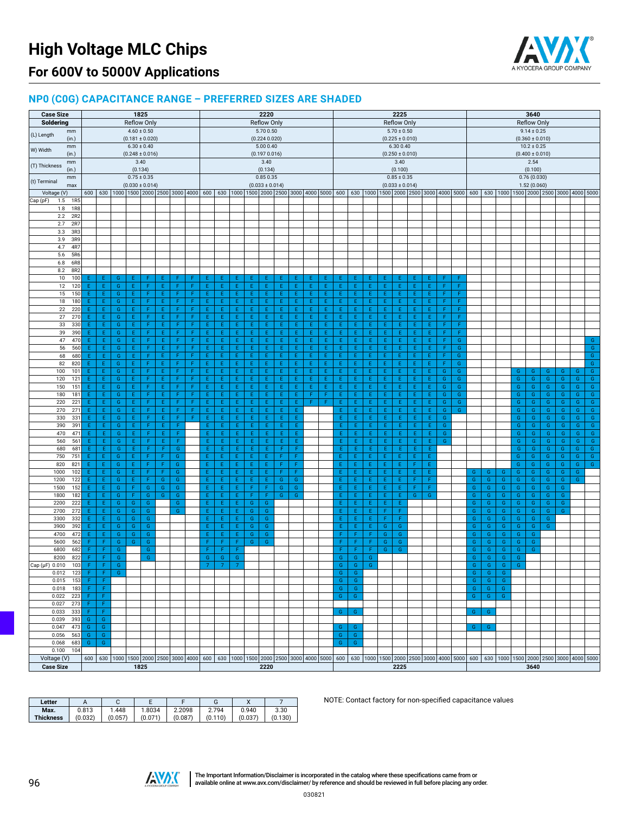

## **NP0 (C0G) CAPACITANCE RANGE – PREFERRED SIZES ARE SHADED**

| <b>Case Size</b>                     |                                              |                                        |                              |          | 1825                                  |                   |                                   | 2220<br><b>Reflow Only</b> |                |                |                |               |                      |              |               |                                   |          |                    |                                       | 2225          |                    |                                       |        |          |                    |                                                            |                    |                                 | 3640                          |                                       |                                       |         |        |                                                                                                                                                                                                                                 |                                                        |
|--------------------------------------|----------------------------------------------|----------------------------------------|------------------------------|----------|---------------------------------------|-------------------|-----------------------------------|----------------------------|----------------|----------------|----------------|---------------|----------------------|--------------|---------------|-----------------------------------|----------|--------------------|---------------------------------------|---------------|--------------------|---------------------------------------|--------|----------|--------------------|------------------------------------------------------------|--------------------|---------------------------------|-------------------------------|---------------------------------------|---------------------------------------|---------|--------|---------------------------------------------------------------------------------------------------------------------------------------------------------------------------------------------------------------------------------|--------------------------------------------------------|
| Soldering<br>mm                      |                                              |                                        |                              |          | <b>Reflow Only</b><br>$4.60 \pm 0.50$ |                   |                                   |                            |                |                |                |               | 5.70 0.50            |              |               |                                   |          |                    |                                       |               |                    | <b>Reflow Only</b><br>$5.70 \pm 0.50$ |        |          |                    |                                                            |                    |                                 |                               |                                       | <b>Reflow Only</b><br>$9.14 \pm 0.25$ |         |        |                                                                                                                                                                                                                                 |                                                        |
| (L) Length<br>(in.)                  |                                              |                                        |                              |          | $(0.181 \pm 0.020)$                   |                   |                                   |                            |                |                |                |               | (0.224 0.020)        |              |               |                                   |          |                    |                                       |               |                    | $(0.225 \pm 0.010)$                   |        |          |                    |                                                            |                    |                                 |                               |                                       | $(0.360 \pm 0.010)$                   |         |        |                                                                                                                                                                                                                                 |                                                        |
| mm<br>W) Width                       |                                              |                                        |                              |          | $6.30 \pm 0.40$                       |                   |                                   |                            |                |                |                |               | 5.00 0.40            |              |               |                                   |          |                    |                                       |               |                    | 6.300.40                              |        |          |                    |                                                            |                    |                                 |                               |                                       | $10.2 \pm 0.25$                       |         |        |                                                                                                                                                                                                                                 |                                                        |
| (in.)<br>mm<br>(T) Thickness         |                                              |                                        |                              |          | $(0.248 \pm 0.016)$<br>3.40           |                   |                                   |                            |                |                |                |               | (0.1970.016)<br>3.40 |              |               |                                   |          |                    |                                       |               |                    | $(0.250 \pm 0.010)$<br>3.40           |        |          |                    |                                                            |                    |                                 |                               |                                       | $(0.400 \pm 0.010)$<br>2.54           |         |        |                                                                                                                                                                                                                                 |                                                        |
| (in.)                                |                                              |                                        |                              |          | (0.134)<br>$0.75 \pm 0.35$            |                   |                                   |                            |                |                |                |               | (0.134)<br>0.85 0.35 |              |               |                                   |          |                    |                                       |               |                    | (0.100)<br>$0.85 \pm 0.35$            |        |          |                    |                                                            |                    |                                 |                               |                                       | (0.100)<br>0.76(0.030)                |         |        |                                                                                                                                                                                                                                 |                                                        |
| mm<br>(t) Terminal<br>max            |                                              |                                        |                              |          | $(0.030 \pm 0.014)$                   |                   |                                   |                            |                |                |                |               | $(0.033 \pm 0.014)$  |              |               |                                   |          |                    |                                       |               |                    | $(0.033 \pm 0.014)$                   |        |          |                    |                                                            |                    |                                 |                               |                                       | 1.52(0.060)                           |         |        |                                                                                                                                                                                                                                 |                                                        |
| Voltage (V)                          | 600                                          | 630                                    |                              |          |                                       |                   | 1000 1500 2000 2500 3000 4000 600 |                            |                |                | 630 1000       |               |                      |              |               | 1500 2000 2500 3000 4000 5000 600 |          |                    |                                       |               |                    |                                       |        |          |                    | 630   1000   1500   2000   2500   3000   4000   5000   600 |                    | 630                             | 1000                          |                                       |                                       |         |        | 1500 2000 2500 3000 4000 5000                                                                                                                                                                                                   |                                                        |
| Cap (pF)<br>1R5<br>1.5<br>1.8<br>1R  |                                              |                                        |                              |          |                                       |                   |                                   |                            |                |                |                |               |                      |              |               |                                   |          |                    |                                       |               |                    |                                       |        |          |                    |                                                            |                    |                                 |                               |                                       |                                       |         |        |                                                                                                                                                                                                                                 |                                                        |
| 2R2<br>2.2                           |                                              |                                        |                              |          |                                       |                   |                                   |                            |                |                |                |               |                      |              |               |                                   |          |                    |                                       |               |                    |                                       |        |          |                    |                                                            |                    |                                 |                               |                                       |                                       |         |        |                                                                                                                                                                                                                                 |                                                        |
| 2.7<br>2R<br>3R3<br>3.3              |                                              |                                        |                              |          |                                       |                   |                                   |                            |                |                |                |               |                      |              |               |                                   |          |                    |                                       |               |                    |                                       |        |          |                    |                                                            |                    |                                 |                               |                                       |                                       |         |        |                                                                                                                                                                                                                                 |                                                        |
| 3.9<br>3R9                           |                                              |                                        |                              |          |                                       |                   |                                   |                            |                |                |                |               |                      |              |               |                                   |          |                    |                                       |               |                    |                                       |        |          |                    |                                                            |                    |                                 |                               |                                       |                                       |         |        |                                                                                                                                                                                                                                 |                                                        |
| 4.7<br>4R7<br>5.6<br>5R6             |                                              |                                        |                              |          |                                       |                   |                                   |                            |                |                |                |               |                      |              |               |                                   |          |                    |                                       |               |                    |                                       |        |          |                    |                                                            |                    |                                 |                               |                                       |                                       |         |        |                                                                                                                                                                                                                                 |                                                        |
| 6R8<br>6.8                           |                                              |                                        |                              |          |                                       |                   |                                   |                            |                |                |                |               |                      |              |               |                                   |          |                    |                                       |               |                    |                                       |        |          |                    |                                                            |                    |                                 |                               |                                       |                                       |         |        |                                                                                                                                                                                                                                 |                                                        |
| 8.2<br>8R2<br>10<br>100              | Ε.                                           | Ε                                      | G                            | Ε.       |                                       | Ε.                | F                                 | F                          | Ε              | Ε              | Ε.             | Ε             | Ε                    | Ε            | Ε.            | Ε                                 | Ε.       | Ε.                 | Ε                                     | Ε             | Ε                  | Ε.                                    | Ε      | Ε.       | F                  | F                                                          |                    |                                 |                               |                                       |                                       |         |        |                                                                                                                                                                                                                                 |                                                        |
| 12<br>120                            | Ε.                                           | Ε                                      | G.                           | E.       | F                                     | E.                | F.                                | F                          | Ε              | E              | E.             | E.            | E                    | $\mathsf{E}$ | $\mathsf{E}$  | Ε                                 | E.       | E.                 | E.                                    | E.            | E.                 | E.                                    | E      | E.       | F                  | F                                                          |                    |                                 |                               |                                       |                                       |         |        |                                                                                                                                                                                                                                 |                                                        |
| 15<br>150<br>18<br>180               | Ε.<br>Ε.                                     | Ε<br>Ε                                 | G<br>G                       | Ε.<br>Ε. | F.<br>F.                              | E.<br>E.          | F<br>F                            | F<br>F.                    | Ε<br>Ε         | E.<br>E.       | Ε.<br>E.       | Ε<br>Ε        | Ε<br>E.              | Ε<br>E.      | Ε.<br>E.      | Ε<br>Ε                            | E.<br>Ε  | E.<br>Ε.           | E.<br>E.                              | Ε.<br>E.      | Ε<br>Ε             | E.<br>E.                              | Ε<br>Ε | Ε<br>E.  | F<br>F             | F<br>F                                                     |                    |                                 |                               |                                       |                                       |         |        |                                                                                                                                                                                                                                 |                                                        |
| 22<br>220                            | Ε.                                           | Ε.                                     | G                            | Ε.       | F.                                    | Ε                 | F                                 | F.                         | Ε              | Ε              | Ε.             | Ε             | E.                   | Ε            | Ε             | Ε                                 | Ε.       | Ε.                 | Ε.                                    | Ε.            | Ε                  | Ε                                     | Ε      | E.       | F                  | F                                                          |                    |                                 |                               |                                       |                                       |         |        |                                                                                                                                                                                                                                 |                                                        |
| 270<br>27                            | E.<br>E.                                     | E.<br>E.                               | G<br>G                       | Ε.       | F.<br>F                               | E.<br>E.          | F.<br>F                           | F.<br>F.                   | Ε<br>Ε         | Ε              | E.<br>E.       | Ε             | E.<br>E.             | E<br>E       | E.<br>E.      | E.<br>E                           | E.<br>E. | Ε.                 | E.                                    | E.<br>E       | E.                 | E.                                    | Ε<br>E | E        | F<br>F             | F<br>F.                                                    |                    |                                 |                               |                                       |                                       |         |        |                                                                                                                                                                                                                                 |                                                        |
| 33<br>330<br>39<br>390               | Ε.                                           | E.                                     | G                            | Ε.<br>Ε. | F                                     | E.                | F                                 | F.                         | E              | Ε<br>Ε         | Ε.             | Ε<br>Ε        | E.                   | Ε            | E.            | Ε                                 | E.       | Ε.<br>Ε.           | Ε.<br>E.                              | E.            | Ε<br>E.            | E.<br>E.                              | E      | E.<br>E. | F                  | F                                                          |                    |                                 |                               |                                       |                                       |         |        |                                                                                                                                                                                                                                 |                                                        |
| 470<br>47                            | E.                                           | E.                                     | G                            | Ε.       | F                                     | E.                | F                                 | F.                         | Ε              | Ε              | E.             | Ε             | Æ.                   | Ε            | Æ.            | Ε                                 | E.       | Ε.                 | Ε.                                    | E.            | Ε                  | E                                     | Ε      | Ε        | F                  | G                                                          |                    |                                 |                               |                                       |                                       |         |        |                                                                                                                                                                                                                                 | $\mathbb{G}$                                           |
| 56<br>560<br>68<br>680               | Ε.<br>Ε.                                     | Ε.<br>E.                               | G<br>G                       | Ε.<br>Ε. | F.<br>F.                              | E.<br>E.          | F<br>F.                           | F.<br>F                    | Ε<br>Ε         | Ε<br>E.        | E.<br>Ε.       | Ε<br>Ε        | Ε<br>Ε               | Ε<br>Ε       | Ε.<br>E.      | E.<br>Ε                           | E.<br>E. | Ε.<br>Ε.           | Ε.<br>E.                              | E.<br>Ε       | Ε<br>Ε             | E.<br>Ε.                              | Ε<br>Ε | Ε<br>Ε   | F<br>F             | G<br>G                                                     |                    |                                 |                               |                                       |                                       |         |        |                                                                                                                                                                                                                                 | ${\mathsf G}$<br>$\mathsf{G}^-$                        |
| 82<br>820                            | Ε.                                           | Ε                                      | G                            | Ε.       | F                                     | E.                | F                                 | F                          | Ε              | Ε              | Ε.             | Ε             | Ε                    | Ε            | Ε.            | Ε                                 | E.       | Ε.                 | E.                                    | E.            | E.                 | E.                                    | Ε      | Ε        | F                  | G                                                          |                    |                                 |                               |                                       |                                       |         |        |                                                                                                                                                                                                                                 | G                                                      |
| 100<br>101<br>120<br>121             | E.<br>E.                                     | E<br>Ε.                                | G<br>G                       | Ė.<br>E. | F<br>F                                | E.<br>E.          | F<br>F                            | F<br>F                     | Ε<br>Ε         | Ε<br>Ε         | E.<br>E.       | E<br>Ε        | E<br>Ε               | Ε<br>E.      | E.<br>E.      | Ε<br>E.                           | E<br>E   | Ε.<br>Ε.           | E.<br>E.                              | Ε<br>E        | E.<br>E.           | E.<br>E.                              | Ε<br>Ε | E<br>Ε   | ${\mathsf G}$<br>G | ${\mathbb G}$<br>G                                         |                    |                                 |                               | G<br>${\mathsf G}$                    | G<br>G                                | G<br>G  | G<br>G | G<br>${\mathsf G}$                                                                                                                                                                                                              | $\mathbb{G}^{\times}$<br>G                             |
| 150<br>151                           | E.                                           | $\mathsf E$                            | G                            | E.       | F                                     | E                 | F                                 | F                          | Ε              | E              | E.             | Ε             | Ε                    | Ε            | E.            | E                                 | E        | E.                 | E.                                    | Ε             | E                  | E.                                    | Ε      | E        | ${\mathsf G}$      | ${\mathbb G}$                                              |                    |                                 |                               | ${\mathbb G}$                         | G                                     | G       | G      | ${\mathsf G}$                                                                                                                                                                                                                   | $\mathsf{G}^{\scriptscriptstyle \top}$                 |
| 180<br>181<br>220<br>$22^{\circ}$    | E.<br>E.                                     | Ε<br>Ε                                 | G<br>G                       | E.<br>E. | F<br>F                                | E.<br>Ε           | F<br>F                            | F.<br>F.                   | Ε<br>Ε         | E<br>Ε         | E.<br>E.       | Ε<br>Ε        | Ε<br>Ε               | Ε<br>E       | E.<br>E.      | F<br>F                            | F<br>F.  | E<br>E             | E.<br>E.                              | E.<br>E.      | E<br>Ε             | E.<br>E.                              | Ε<br>Ε | Ε<br>Ε   | G<br>${\mathsf G}$ | G<br>G                                                     |                    |                                 |                               | ${\mathsf G}$<br>${\mathbb G}$        | G<br>G                                | G<br>G  | G<br>G | G<br>${\mathsf G}$                                                                                                                                                                                                              | $\mathsf{G}^-$<br>$\mathsf{G}^-$                       |
| 271<br>270                           | E.                                           | E.                                     | G                            | E.       | F                                     | Ε                 | F                                 | F.                         | Ε              | Ε              | E.             | Ε             | Ε                    | Ε            | E.            |                                   |          | E.                 | E.                                    | E             | Ε                  | E                                     | Ε      | Ε        | ${\mathbb G}$      | G                                                          |                    |                                 |                               | ${\mathbb G}$                         | ${\mathsf G}$                         | G       | G      | G                                                                                                                                                                                                                               | $\mathbb{G}^{\circ}$                                   |
| 330<br>331<br>390<br>391             | Ε.<br>E.                                     | E.<br>E.                               | G<br>${\mathbb G}$           | E.<br>Ε. | F<br>F                                | Ε<br>E.           | F<br>F                            | F.                         | Ε<br>E         | Ε<br>Ε         | E<br>Ε         | Ε<br>Ε        | Ε<br>Ε               | Ε<br>Ε       | E.<br>E       |                                   |          | E<br>E             | E.<br>Ė.                              | Ε<br>E.       | Ε<br>E             | E<br>E                                | Ε<br>Ε | Ε<br>E   | G<br>G             |                                                            |                    |                                 |                               | ${\mathbb G}$<br>${\mathbb G}$        | G<br>G                                | G<br>G  | G<br>G | ${\mathbb G}$<br>${\mathbb G}$                                                                                                                                                                                                  | $\mathbb{G}^{\circ}$<br>$\mathbb{G}^+$                 |
| 470<br>47'                           | E.                                           | E.                                     | G                            | E.       | F                                     | E.                | F                                 |                            | E              | E              | E              | Ε             | E                    | Ε            | E             |                                   |          | E                  | Ė.                                    | E.            | E                  | E                                     | Ε      | E        | ${\mathbb G}$      |                                                            |                    |                                 |                               | ${\mathbb G}$                         | ${\mathsf G}$                         | G       | G      | ${\mathbb G}$                                                                                                                                                                                                                   | $\mathbb{G}^{\times}$                                  |
| 561<br>560<br>680<br>68              | E.<br>E.                                     | E.<br>E.                               | ${\mathbb G}$<br>G           | E.<br>E. | F<br>F.                               | E.<br>$\mathsf F$ | F<br>${\mathsf G}$                |                            | Ε<br>Ε         | Ε<br>E         | Ε<br>E         | Ε<br>E        | Ε<br>Ε               | Ε<br>F       | Ε<br>F        |                                   |          | E<br>E             | E.<br>Ė.                              | E.<br>E.      | E.<br>E            | E<br>E                                | Ε<br>Ε | Ε<br>E   | G                  |                                                            |                    |                                 |                               | ${\mathbb G}$<br>${\mathbb G}$        | G<br>${\mathbb G}$                    | G<br>G  | G<br>G | ${\mathsf G}$<br>${\mathsf G}$                                                                                                                                                                                                  | $\mathsf{G}^{\scriptscriptstyle\top}$<br>${\mathbb G}$ |
| 750<br>751                           | Ε                                            | Ε                                      | G                            | Ε.       | F.                                    | F.                | G                                 |                            | Ε              | Ε.             | Ε.             | Ε             | Ε                    | F            | F             |                                   |          | Ε                  | Ε.                                    | Ε             | Ε                  | Ε                                     | Ε      | Ε        |                    |                                                            |                    |                                 |                               | ${\mathbb G}$                         | G                                     | G       | G      | $\mathsf{G}$                                                                                                                                                                                                                    | $\mathbb{G}^-$                                         |
| 820<br>821<br>1000<br>102            | Ε<br>E.                                      | Ε<br>Ε                                 | G<br>G                       | Ε.<br>Ε. | F<br>F                                | F<br>F            | ${\mathsf G}$<br>${\mathbb G}$    |                            | Ε<br>Ε         | E<br>Ε         | Ε<br>Ε.        | E<br>Ε        | E<br>Ε               | F<br>F       | F<br>F        |                                   |          | E.<br>Ε.           | E<br>Ε                                | Ε<br>Ε        | E<br>Ε             | E<br>Ε.                               | F<br>Ε | E<br>Ε   |                    |                                                            | G                  | G                               | G                             | ${\mathbb G}$<br>${\mathbb G}$        | G<br>G                                | G<br>G  | G<br>G | ${\mathsf G}$<br>${\mathbb G}$                                                                                                                                                                                                  | $\mathsf{G}^{\scriptscriptstyle \top}$                 |
| 1200<br>122                          | E.                                           | E.                                     | G.                           | Ε.       | F.                                    | G                 | ${\mathsf G}$                     |                            | E              | E.             | E.             | E             | E                    | $\mathsf{G}$ | $\mathbb{G}$  |                                   |          | Ė.                 | Ė.                                    | E.            | E.                 | E.                                    | F      |          |                    |                                                            | $\mathsf{G}$       | G                               | $\mathsf{G}$                  | $\mathsf{G}^{\scriptscriptstyle\top}$ | G                                     | G.      | G      | G                                                                                                                                                                                                                               |                                                        |
| 1500<br>152                          | Ε.                                           | Ε                                      | G                            | F.<br>F. | G                                     | ${\mathsf G}$     | ${\mathsf G}$                     |                            | Ε              | Ε              | Ε.             | F<br>F        | F<br>F               | G            | G             |                                   |          | Ε<br>E             | Ε.                                    | Ε             | Ε                  | E.                                    | F      | F        |                    |                                                            | G                  | G                               | G                             | G                                     | G                                     | G.      | G      |                                                                                                                                                                                                                                 |                                                        |
| 1800<br>182<br>2200<br>222           | E.<br>Ε.                                     | Ε.<br>Ε.                               | G<br>G                       | G        | $\mathsf{G}$<br>${\mathbb G}$         | G                 | ${\mathsf G}$<br>G                |                            | E<br>Ε         | Ε<br>Ε         | E.<br>Ε.       | ${\mathbb G}$ | G                    | G            | ${\mathsf G}$ |                                   |          | Ε                  | E.<br>Ë.                              | E.<br>Ε.      | E.<br>Ε            | E.<br>E.                              | G      | G        |                    |                                                            | G<br>G             | G<br>$\mathsf{G}$               | $\mathbb{G}$<br>G             | G<br>$\mathsf{G}$                     | G<br>G                                | G.<br>G | G<br>G |                                                                                                                                                                                                                                 |                                                        |
| 2700<br>272                          | Ε.                                           | E.                                     | G                            | G.       | $\mathsf{G}$                          |                   | ${\mathbb G}$                     |                            | Ε              | Ε              | E.             | G             | ${\mathsf G}$        |              |               |                                   |          | E                  | E.                                    | E.            | F.                 | F.<br>F.                              |        |          |                    |                                                            | G                  | G                               | G                             | $\mathbf{G}$                          | G                                     | G       | G      |                                                                                                                                                                                                                                 |                                                        |
| 3300<br>332<br>3900<br>392           | E.<br>Ε                                      | Ε.<br>Ε.                               | G<br>G                       | G<br>G.  | G<br>G                                |                   |                                   |                            | Ε<br>Ε         | Ε<br>Ε         | E.<br>Ε.       | G<br>G        | G<br>G               |              |               |                                   |          | Ε<br>Ε             | E.<br>E.                              | Ε.<br>E.      | F.<br>G            | G                                     |        |          |                    |                                                            | G<br>G             | G<br>G                          | G<br>G                        | G<br>$\mathsf{G}$                     | G<br>G                                | G<br>G. |        |                                                                                                                                                                                                                                 |                                                        |
| 4700<br>472                          | E.                                           | E.                                     | G                            | G.       | ${\mathbb G}$                         |                   |                                   |                            | Ε              | Ε              | E.             | G             | G                    |              |               |                                   |          | F                  | F.                                    | F.            | G                  | ${\mathsf G}$                         |        |          |                    |                                                            | G                  | G                               | ${\mathbb G}$                 | ${\mathsf G}$                         | ${\mathbb G}$                         |         |        |                                                                                                                                                                                                                                 |                                                        |
| 5600<br>562<br>6800<br>682           | F.<br>F.                                     | F.<br>F.                               | G<br>G                       | G        | ${\mathbb G}$<br>G                    |                   |                                   |                            | F<br>F         | F<br>F         | F.<br>F.       | G             | G                    |              |               |                                   |          | F<br>F             | F<br>F.                               | F<br>F.       | G<br>${\mathbb G}$ | G<br>${\mathsf G}$                    |        |          |                    |                                                            | G<br>G             | G<br>G                          | G<br>$\mathsf{G}$             | $\mathsf{G}$<br>${\mathbb G}$         | ${\mathbb G}$<br>G                    |         |        |                                                                                                                                                                                                                                 |                                                        |
| 8200<br>822                          | F.                                           | F.                                     | G                            |          | G                                     |                   |                                   |                            | G              | G              | G              |               |                      |              |               |                                   |          | G                  | G                                     | G             |                    |                                       |        |          |                    |                                                            | G                  | ${\mathbb G}$                   | ${\mathbb G}$                 | ${\mathbb G}$                         |                                       |         |        |                                                                                                                                                                                                                                 |                                                        |
| Cap (µF) 0.010<br>103<br>$0.012$ 123 | F.<br>F.                                     | F<br>F.                                | ${\mathbb G}$<br>$\mathsf G$ |          |                                       |                   |                                   |                            | $\overline{7}$ | $\overline{7}$ | $\overline{7}$ |               |                      |              |               |                                   |          | G<br>G             | G<br>$\mathsf{G}$                     | ${\mathsf G}$ |                    |                                       |        |          |                    |                                                            | G<br>G             | ${\mathbb G}$<br>$\mathsf{G}^-$ | G<br>$\mathsf{G}$             | ${\mathsf G}$                         |                                       |         |        |                                                                                                                                                                                                                                 |                                                        |
| 0.015<br>153                         | F.                                           | $\mathsf F$                            |                              |          |                                       |                   |                                   |                            |                |                |                |               |                      |              |               |                                   |          | ${\mathsf G}$      | ${\mathbb G}$                         |               |                    |                                       |        |          |                    |                                                            | $\mathsf{G}$       | $-$ G $-$                       | $\mathbb{G}$                  |                                       |                                       |         |        |                                                                                                                                                                                                                                 |                                                        |
| 0.018<br>183<br>0.022<br>223         | F.<br>$\mathsf{F}^{\scriptscriptstyle\perp}$ | F.<br>F                                |                              |          |                                       |                   |                                   |                            |                |                |                |               |                      |              |               |                                   |          | G<br>${\mathsf G}$ | $\mathsf{G}$<br>$\mathbb{G}^{\times}$ |               |                    |                                       |        |          |                    |                                                            | G<br>${\mathsf G}$ | $-$ G $-$<br>$\mathsf{G}^-$     | ${\mathbb G}$<br>$\mathbb{G}$ |                                       |                                       |         |        |                                                                                                                                                                                                                                 |                                                        |
| 0.027<br>273                         | F                                            | F                                      |                              |          |                                       |                   |                                   |                            |                |                |                |               |                      |              |               |                                   |          |                    |                                       |               |                    |                                       |        |          |                    |                                                            |                    |                                 |                               |                                       |                                       |         |        |                                                                                                                                                                                                                                 |                                                        |
| 0.033<br>333<br>393<br>0.039         | F.<br>$\mathsf{G}^-$                         | F<br>${\mathsf G}$                     |                              |          |                                       |                   |                                   |                            |                |                |                |               |                      |              |               |                                   |          | G                  | $\mathsf{G}$                          |               |                    |                                       |        |          |                    |                                                            | G                  | $\mathsf{G}$                    |                               |                                       |                                       |         |        |                                                                                                                                                                                                                                 |                                                        |
| 0.047<br>473                         | G                                            | ${\mathsf G}$                          |                              |          |                                       |                   |                                   |                            |                |                |                |               |                      |              |               |                                   |          | G                  | G                                     |               |                    |                                       |        |          |                    |                                                            | G                  | G                               |                               |                                       |                                       |         |        |                                                                                                                                                                                                                                 |                                                        |
| 0.056<br>563<br>683<br>0.068         | G<br>G                                       | $\mathbb{G}^{\times}$<br>${\mathsf G}$ |                              |          |                                       |                   |                                   |                            |                |                |                |               |                      |              |               |                                   |          | G<br>G             | $-$ G $-$<br>$-$ G $-$                |               |                    |                                       |        |          |                    |                                                            |                    |                                 |                               |                                       |                                       |         |        |                                                                                                                                                                                                                                 |                                                        |
| $0.100$ 104                          |                                              |                                        |                              |          |                                       |                   |                                   |                            |                |                |                |               |                      |              |               |                                   |          |                    |                                       |               |                    |                                       |        |          |                    |                                                            |                    |                                 |                               |                                       |                                       |         |        |                                                                                                                                                                                                                                 |                                                        |
| Voltage (V)                          | 600                                          |                                        |                              |          |                                       |                   |                                   |                            |                |                |                |               |                      |              |               |                                   |          |                    |                                       |               |                    |                                       |        |          |                    |                                                            |                    |                                 |                               |                                       |                                       |         |        | 600   1000   1000   1000   2000   2000   2000   2000   4000   4000   600   600   4000   2000   2000   600   600   600   600   600   600   600   600   600   600   600   600   600   600   600   600   600   600   600   600   6 |                                                        |
| <b>Case Size</b>                     |                                              |                                        |                              |          | 1825                                  |                   |                                   |                            |                |                |                |               | 2220                 |              |               |                                   |          |                    |                                       |               |                    | 2225                                  |        |          |                    |                                                            |                    |                                 |                               |                                       | 3640                                  |         |        |                                                                                                                                                                                                                                 |                                                        |

| Letter           |         |         |         |         |               |         |         |
|------------------|---------|---------|---------|---------|---------------|---------|---------|
| Max.             | 0.813   | 1.448   | .8034   | 2.2098  | 794<br>$\sim$ | 0.940   | 3.30    |
| <b>Thickness</b> | (0.032) | (0.057) | (0.071) | (0.087) | (0.110)       | (0.037) | (0.130) |

NOTE: Contact factory for non-specified capacitance values

The Important Information/Disclaimer is incorporated in the catalog where these specifications came from or<br>96 available online at [www.avx.com/disclaimer/](http://www.avx.com/disclaimer/) by reference and should be reviewed in full before placing any orde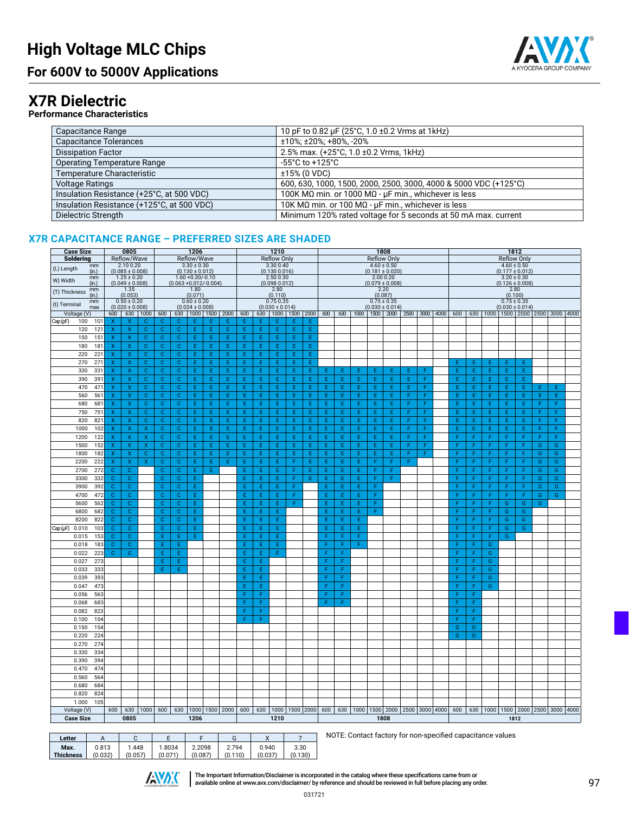

# **X7R Dielectric**

**Performance Characteristics**

| Capacitance Range                          | 10 pF to 0.82 µF (25°C, 1.0 ±0.2 Vrms at 1kHz)                   |
|--------------------------------------------|------------------------------------------------------------------|
| Capacitance Tolerances                     | ±10%; ±20%; +80%, -20%                                           |
| <b>Dissipation Factor</b>                  | 2.5% max. (+25°C, 1.0 ±0.2 Vrms, 1kHz)                           |
| <b>Operating Temperature Range</b>         | $-55^{\circ}$ C to $+125^{\circ}$ C                              |
| Temperature Characteristic                 | ±15% (0 VDC)                                                     |
| <b>Voltage Ratings</b>                     | 600, 630, 1000, 1500, 2000, 2500, 3000, 4000 & 5000 VDC (+125°C) |
| Insulation Resistance (+25°C, at 500 VDC)  | 100K MΩ min. or 1000 MΩ - μF min., whichever is less             |
| Insulation Resistance (+125°C, at 500 VDC) | 10K MΩ min. or 100 MΩ - $\mu$ F min., whichever is less          |
| Dielectric Strength                        | Minimum 120% rated voltage for 5 seconds at 50 mA max. current   |

#### **X7R CAPACITANCE RANGE – PREFERRED SIZES ARE SHADED**

| <b>Case Size</b>                |            |                           | 0805                                   |                            |                              |                   | 1206                                   |                          |                          |        |        | 1210                            |        |        |          |          |        |        | 1808                                                                                                        |        |   |        |        |                              | 1812                                                |        |               |   |  |
|---------------------------------|------------|---------------------------|----------------------------------------|----------------------------|------------------------------|-------------------|----------------------------------------|--------------------------|--------------------------|--------|--------|---------------------------------|--------|--------|----------|----------|--------|--------|-------------------------------------------------------------------------------------------------------------|--------|---|--------|--------|------------------------------|-----------------------------------------------------|--------|---------------|---|--|
| Soldering                       |            |                           | Reflow/Wave                            |                            |                              |                   | Reflow/Wave                            |                          |                          |        |        | <b>Reflow Only</b>              |        |        |          |          |        |        | <b>Reflow Only</b>                                                                                          |        |   |        |        |                              | <b>Reflow Only</b>                                  |        |               |   |  |
| mm<br>(L) Length<br>(in.)       |            |                           | 2.10 0.20<br>$(0.085 \pm 0.008)$       |                            |                              |                   | $3.30 \pm 0.30$<br>$(0.130 \pm 0.012)$ |                          |                          |        |        | 3.300.40<br>(0.130 0.016)       |        |        |          |          |        |        | $4.60 \pm 0.50$<br>$(0.181 \pm 0.020)$                                                                      |        |   |        |        |                              | $4.60 \pm 0.50$<br>$(0.177 \pm 0.012)$              |        |               |   |  |
| W) Width<br>(in.)               | mm         |                           | $1.25 \pm 0.20$<br>$(0.049 \pm 0.008)$ |                            |                              |                   | $1.60 + 0.30/-0.10$                    | $(0.063 + 0.012/-0.004)$ |                          |        |        | 2.50 0.30<br>(0.098 0.012)      |        |        |          |          |        |        | 2.00 0.20<br>$(0.079 \pm 0.008)$                                                                            |        |   |        |        |                              | $3.20 \pm 0.30$<br>$(0.126 \pm 0.008)$              |        |               |   |  |
| mm<br>(T) Thickness<br>(in.)    |            |                           | 1.35<br>(0.053)                        |                            |                              |                   | 1.80<br>(0.071)                        |                          |                          |        |        | 2.80<br>(0.110)                 |        |        |          |          |        |        | 2.20<br>(0.087)                                                                                             |        |   |        |        |                              | 2.80<br>(0.100)                                     |        |               |   |  |
| mm<br>(t) Terminal<br>max       |            |                           | $0.50 \pm 0.20$<br>$(0.020 \pm 0.008)$ |                            |                              |                   | $0.60 \pm 0.20$<br>$(0.024 \pm 0.008)$ |                          |                          |        |        | 0.750.35<br>$(0.030 \pm 0.014)$ |        |        |          |          |        |        | $0.75 \pm 0.35$<br>$(0.030 \pm 0.014)$                                                                      |        |   |        |        |                              | $0.75 \pm 0.35$<br>$(0.030 \pm 0.014)$              |        |               |   |  |
| Voltage (V)                     |            | 600                       |                                        | 630 1000 600               |                              |                   |                                        |                          | 630   1000   1500   2000 | 600    |        | 630   1000   1500   2000   600  |        |        |          | 630      |        |        | 1000   1500   2000   2500   3000   4000                                                                     |        |   |        |        |                              | 600   630   1000   1500   2000   2500   3000   4000 |        |               |   |  |
| Cap (pF)<br>100                 | 101        | х                         | х                                      | C                          | c                            | C.                | Ε                                      | Е                        | Ε                        | Ε      | Ε      | Ε.                              | Ε      | Ε      |          |          |        |        |                                                                                                             |        |   |        |        |                              |                                                     |        |               |   |  |
| 120                             | 121        | x                         | X                                      | $\mathbf C$                | $\mathbf{C}$                 | C.                | E                                      | F                        | E                        | E      | F      | E                               | Ε      | E      |          |          |        |        |                                                                                                             |        |   |        |        |                              |                                                     |        |               |   |  |
| 150                             | 151        | $\mathsf{x}$              | X                                      | $\mathbf C$                | $\mathbf{C}$                 | $\mathbf{C}$      | E                                      | E                        | E                        | Ε      | Ε      | E                               | Ε      | E      |          |          |        |        |                                                                                                             |        |   |        |        |                              |                                                     |        |               |   |  |
| 180                             | 181        | $\mathsf X$               | X                                      | $\mathbf{C}$               | $\mathbf{C}$                 | $\mathbf{C}$      | E                                      | E                        | E.                       | E.     | E      | E.                              | E.     | E.     |          |          |        |        |                                                                                                             |        |   |        |        |                              |                                                     |        |               |   |  |
| 220                             | 221        | $\pmb{\mathsf{x}}$        | $\boldsymbol{\mathsf{X}}$              | $\mathbf C$                | $\mathbf{C}$                 | $\mathbf{C}$      | Ε                                      | E                        | E.                       | E.     | E      | E.                              | E.     | E.     |          |          |        |        |                                                                                                             |        |   |        |        |                              |                                                     |        |               |   |  |
| 270                             | 271        | x<br>$\mathsf X$          | Χ<br>$\pmb{\mathsf{X}}$                | $\mathbf C$<br>$\mathbf C$ | $\mathbf{C}$<br>$\mathbf{C}$ | c<br>$\mathbf{C}$ | Ε<br>E                                 | E<br>E                   | E<br>E                   | E<br>E | E<br>E | E<br>E                          | Ε<br>E | E<br>E |          |          |        |        |                                                                                                             |        | F | Ε<br>E | Ε<br>E | Ε<br>E.                      | Ε<br>E                                              | Ε<br>E |               |   |  |
| 330<br>390                      | 331        |                           |                                        | $\mathbf{C}$               |                              | $\mathbf{C}$      | E                                      | E                        | E                        | E      | E      | E                               |        | E.     | Ε<br>E   | Ε<br>E   | Ε<br>E | Ε<br>E | Ε<br>E                                                                                                      | Ε<br>E | F | E      | E      | E                            |                                                     | E      |               |   |  |
| 470                             | 391<br>471 | X<br>X                    | X<br>X                                 | $\mathbf C$                | c<br>$\mathbf C$             | Ċ                 | E                                      | Ė                        | Ε                        | E      | Ë      | E                               | Ε<br>Ε | E      | E        | E        | E      | E      | E                                                                                                           | Ε      | F | E      | Ė      | E                            | Ε<br>E                                              | E      | Ε             | Ε |  |
| 560                             | 561        | $\mathsf{X}$              | $\boldsymbol{\mathsf{x}}$              | $\mathbf C$                | $\mathbf{C}$                 | $\mathbf{C}$      | E                                      | E                        | E                        | E      | Ε      | E.                              | Ε      | E      | E.       | E        | E.     | Ε      | Ε                                                                                                           | F      | F | Ε      | E      | Ε.                           | Ε                                                   | Ε      | E.            | E |  |
| 680                             | 681        | $\mathsf{X}$              | $\mathsf{x}$                           | $\mathbf{C}$               | $\mathbf{C}$                 | $\mathbf{C}$      | E                                      | F.                       | E.                       | F.     | F      | E.                              | E.     | E.     | E.       | F.       | E.     | F      | F.                                                                                                          | F      | F | F      | F.     | F.                           | F                                                   | F.     | F.            | F |  |
| 750                             | 751        | $\boldsymbol{\mathsf{X}}$ | $\boldsymbol{\mathsf{x}}$              | $\mathbf{C}$               | $\mathbf{C}$                 | $\mathbf{C}$      | E                                      | E                        | E.                       | E.     | E      | E.                              | E.     | E.     | E.       | E.       | E.     | E      | E.                                                                                                          | F      | F | E      | E      | E.                           | E                                                   | Ε      | F.            | F |  |
| 820                             | 821        | $\mathsf{X}$              | x                                      | $\mathbf C$                | $\mathbf{C}$                 | c                 | E                                      | E                        | E                        | E      | E      | E.                              | Ε      | E.     | E.       | E        | E      | E      | E                                                                                                           | F      | F | E      | E      | E.                           | Ε                                                   | Ε      | F.            | Е |  |
| 1000                            | 102        | X                         | $\pmb{\mathsf{X}}$                     | X                          | $\mathbf{C}$                 | $\mathbf C$       | E                                      | E                        | E                        | E      | E      | E                               | E.     | E.     | E.       | E        | Ė.     | E      | E                                                                                                           | F      | F | E      | E      | E.                           | E                                                   | E      | F             | F |  |
| 1200                            | 122        | x                         | x                                      | x                          | $\mathbf{C}$                 | c                 | Ε                                      | E.                       | E                        | E      | Ε      | E                               | Ε      | E.     | E        | E        | E      | E      | Ε                                                                                                           | F      | F | F      | F      | F.                           | F                                                   | F      | F.            | F |  |
| 1500                            | 152        | x                         | X                                      | X                          | $\mathbf{C}$                 | с                 | E                                      | E                        | E                        | E      | E      | Ė                               | E.     | Ė.     | E        | E        | E      | E      | E                                                                                                           | F      | F | F      | F      | F                            | F                                                   | F      | G             | G |  |
| 1800                            | 182        | X                         | X                                      | $\mathbf C$                | $\mathbf{C}$                 | $\mathbf{C}$      | E                                      | E                        | E.                       | E      | E      | E.                              | E.     | E.     | E.       | E        | E.     | E      | E.                                                                                                          | F      | F | F      | F      | F.                           | F                                                   | F      | G             | G |  |
| 2200                            | 222        | X                         | $\pmb{\mathsf{X}}$                     | X                          | $\mathbf{C}$                 | $\mathbf{C}$      | E                                      | E                        | E.                       | E.     | E      | E.                              | F.     | E.     | E.       | E.       | E.     | F      | F.                                                                                                          | F      |   | F      | F      | F.                           | F                                                   | F      | G             | G |  |
| 2700                            | 272        | $\mathbf C$               | $\mathbf C$                            |                            | $\mathbf{C}$                 | $\mathbf{C}$      | E                                      | E                        |                          | E.     | E      | E.                              | F      | E.     | E.       | E.       | Ė.     | F      | F                                                                                                           |        |   | F      | F      | F                            | F                                                   | F      | ${\mathbb G}$ | G |  |
| 3300                            | 332        | $\mathbf C$               | $\mathbf C$                            |                            | $\mathbf C$                  | с                 | Ε                                      |                          |                          | E      | E      | E                               | F      | E.     | E        | E        | Ε      | F      | F                                                                                                           |        |   | F      | F      | F                            | F                                                   | F      | G             | G |  |
| 3900                            | 392        | Ċ                         | $\mathbf{C}$                           |                            | $\mathbf{C}$                 | $\mathbf{C}$      | Ė                                      |                          |                          | Ė      | E      | Ė                               | F      |        | Ė        | Ė        | Ė      | F      |                                                                                                             |        |   | F      | Ë      | F                            | F                                                   | F      | G             | Ġ |  |
| 4700                            | 472        | c                         | $\mathbb C$                            |                            | c                            | с                 | Ε                                      |                          |                          | E      | E      | E                               | F      |        | E        | E        | Ε      | F      |                                                                                                             |        |   | F      | F      | F                            | F                                                   | F      | G             | G |  |
| 5600                            | 562        | $\mathbf C$               | C                                      |                            | Ċ                            | $\mathbf{C}$      | E                                      |                          |                          | E      | E      | E.                              | F      |        | Ė.       | E        | E.     | F      |                                                                                                             |        |   | F      |        | F.                           | G                                                   | G      | G             |   |  |
| 6800                            | 682        | $\mathbf{C}$              | $\mathbf{C}$                           |                            | $\mathbf{C}$                 | $\mathbf{C}$      | E                                      |                          |                          | E      | E      | E                               |        |        | E.       | E        | E.     | F      |                                                                                                             |        |   | F      | F      | F                            | G                                                   | G      |               |   |  |
| 8200                            | 822        | $\mathbf{C}$              | $\mathbf C$                            |                            | $\mathbf{C}$                 | $\mathbf{C}$      | F.                                     |                          |                          | F      | F      | E.                              |        |        | E.       | F.       | E.     |        |                                                                                                             |        |   | F      | F      | F.                           | G                                                   | G      |               |   |  |
| $Cap(\mu F)$<br>0.010           | 103        | $\mathbf{C}$              | $\mathbf C$                            |                            | $\mathbf{C}$                 | $\mathbf{C}$      | E                                      |                          |                          | E      | E      | Ε                               |        |        | E.       | E        | Ε      |        |                                                                                                             |        |   | F      | F      | F                            | G                                                   | G      |               |   |  |
| 0.015                           | 153        | $\mathbf{C}$              | C                                      |                            | Ė.                           | E                 | E                                      |                          |                          | E<br>Ė | E      | E                               |        |        | F.<br>F. | F.<br>F. | F<br>F |        |                                                                                                             |        |   | F<br>F | F<br>F | F                            | G                                                   |        |               |   |  |
| 0.018                           | 183        | Ċ                         | $\mathbf C$                            |                            | Ė.                           | E                 |                                        |                          |                          |        | E<br>F | E<br>F.                         |        |        |          |          |        |        |                                                                                                             |        |   | F      |        | $\mathsf{G}$                 |                                                     |        |               |   |  |
| 0.022<br>0.027                  | 223<br>273 | $\mathbf{C}$              | c                                      |                            | E.<br>Ē                      | E<br>E            |                                        |                          |                          | E<br>E | Ë      |                                 |        |        | F<br>F   | F<br>Ë   |        |        |                                                                                                             |        |   | F      | F<br>F | G<br>$\overline{\mathsf{G}}$ |                                                     |        |               |   |  |
| 0.033                           | 333        |                           |                                        |                            | E.                           | E                 |                                        |                          |                          | E      | E      |                                 |        |        | F.       | F        |        |        |                                                                                                             |        |   | F      | F      | G                            |                                                     |        |               |   |  |
| 0.039                           | 393        |                           |                                        |                            |                              |                   |                                        |                          |                          | E      | E      |                                 |        |        | F        | F        |        |        |                                                                                                             |        |   | F      | F      | $\mathsf{G}$                 |                                                     |        |               |   |  |
| 0.047                           | 473        |                           |                                        |                            |                              |                   |                                        |                          |                          | E      | E      |                                 |        |        | F.       | F        |        |        |                                                                                                             |        |   | F      | F      | $\mathsf{G}$                 |                                                     |        |               |   |  |
| 0.056                           | 563        |                           |                                        |                            |                              |                   |                                        |                          |                          | F      | F      |                                 |        |        | F        | F        |        |        |                                                                                                             |        |   | F      | F      |                              |                                                     |        |               |   |  |
| 0.068                           | 683        |                           |                                        |                            |                              |                   |                                        |                          |                          | Ë      | Ë      |                                 |        |        | F.       | F        |        |        |                                                                                                             |        |   | F      | F      |                              |                                                     |        |               |   |  |
| 0.082                           | 823        |                           |                                        |                            |                              |                   |                                        |                          |                          |        | F      |                                 |        |        |          |          |        |        |                                                                                                             |        |   | F      | F      |                              |                                                     |        |               |   |  |
| 0.100                           | 104        |                           |                                        |                            |                              |                   |                                        |                          |                          | p      | F      |                                 |        |        |          |          |        |        |                                                                                                             |        |   |        |        |                              |                                                     |        |               |   |  |
| 0.150                           | 154        |                           |                                        |                            |                              |                   |                                        |                          |                          |        |        |                                 |        |        |          |          |        |        |                                                                                                             |        |   | G      | G      |                              |                                                     |        |               |   |  |
| 0.220                           | 224        |                           |                                        |                            |                              |                   |                                        |                          |                          |        |        |                                 |        |        |          |          |        |        |                                                                                                             |        |   | G      | G      |                              |                                                     |        |               |   |  |
| 0.270                           | 274        |                           |                                        |                            |                              |                   |                                        |                          |                          |        |        |                                 |        |        |          |          |        |        |                                                                                                             |        |   |        |        |                              |                                                     |        |               |   |  |
| 0.330                           | 334        |                           |                                        |                            |                              |                   |                                        |                          |                          |        |        |                                 |        |        |          |          |        |        |                                                                                                             |        |   |        |        |                              |                                                     |        |               |   |  |
| 0.390                           | 394        |                           |                                        |                            |                              |                   |                                        |                          |                          |        |        |                                 |        |        |          |          |        |        |                                                                                                             |        |   |        |        |                              |                                                     |        |               |   |  |
| 0.470                           | 474        |                           |                                        |                            |                              |                   |                                        |                          |                          |        |        |                                 |        |        |          |          |        |        |                                                                                                             |        |   |        |        |                              |                                                     |        |               |   |  |
| 0.560                           | 564        |                           |                                        |                            |                              |                   |                                        |                          |                          |        |        |                                 |        |        |          |          |        |        |                                                                                                             |        |   |        |        |                              |                                                     |        |               |   |  |
| 0.680                           | 684        |                           |                                        |                            |                              |                   |                                        |                          |                          |        |        |                                 |        |        |          |          |        |        |                                                                                                             |        |   |        |        |                              |                                                     |        |               |   |  |
| 0.820                           | 824        |                           |                                        |                            |                              |                   |                                        |                          |                          |        |        |                                 |        |        |          |          |        |        |                                                                                                             |        |   |        |        |                              |                                                     |        |               |   |  |
| 1.000                           | 105        |                           |                                        |                            |                              |                   |                                        |                          |                          |        |        |                                 |        |        |          |          |        |        |                                                                                                             |        |   |        |        |                              |                                                     |        |               |   |  |
| Voltage (V)<br><b>Case Size</b> |            | 600                       | 630<br>0805                            | 1000                       | 600                          |                   | 1206                                   |                          | 630   1000   1500   2000 | 600    |        | 630 1000 1500 2000 600<br>1210  |        |        |          |          |        |        | 630   1000   1500   2000   2500   3000   4000   600   630   1000   1500   2000   2500   3000   4000<br>1808 |        |   |        |        |                              | 1812                                                |        |               |   |  |
|                                 |            |                           |                                        |                            |                              |                   |                                        |                          |                          |        |        |                                 |        |        |          |          |        |        |                                                                                                             |        |   |        |        |                              |                                                     |        |               |   |  |

| Letter    |         |         |         |         |         |         |         |
|-----------|---------|---------|---------|---------|---------|---------|---------|
| Max.      | 0.813   | 1.448   | 1.8034  | 2.2098  | 2.794   | 0.940   | 3.30    |
| Thickness | (0.032) | (0.057) | (0.071) | (0.087) | (0.110) | (0.037) | (0.130) |
|           |         |         |         |         |         |         |         |

NOTE: Contact factory for non-specified capacitance values



The Important Information/Disclaimer is incorporated in the catalog where these specifications came from or<br>available online at [www.avx.com/disclaimer/](http://www.avx.com/disclaimer/) by reference and should be reviewed in full before placing any order.